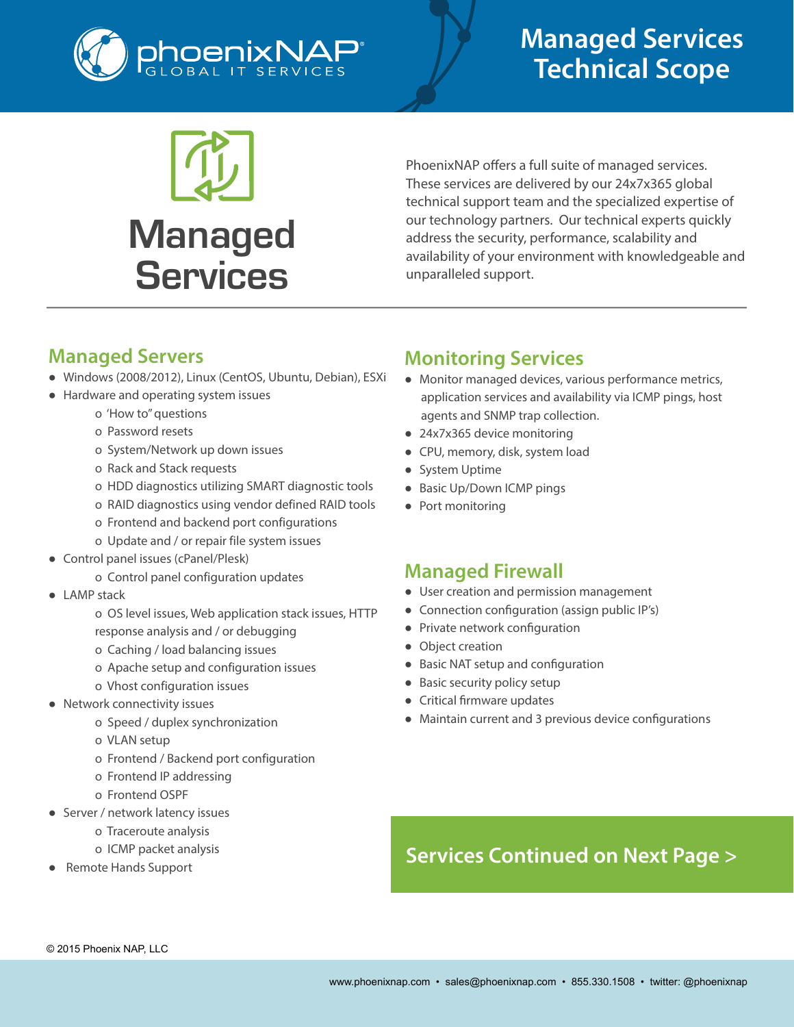



PhoenixNAP offers a full suite of managed services. These services are delivered by our 24x7x365 global technical support team and the specialized expertise of our technology partners. Our technical experts quickly address the security, performance, scalability and availability of your environment with knowledgeable and unparalleled support.

### **Managed Servers**

- Windows (2008/2012), Linux (CentOS, Ubuntu, Debian), ESXi
- Hardware and operating system issues
	- o 'How to" questions
	- o Password resets
	- o System/Network up down issues
	- o Rack and Stack requests
	- o HDD diagnostics utilizing SMART diagnostic tools
	- o RAID diagnostics using vendor defined RAID tools
	- o Frontend and backend port configurations
	- o Update and / or repair file system issues
- Control panel issues (cPanel/Plesk)
	- o Control panel configuration updates
- LAMP stack
	- o OS level issues, Web application stack issues, HTTP response analysis and / or debugging
	- o Caching / load balancing issues
	- o Apache setup and configuration issues
	- o Vhost configuration issues
- Network connectivity issues
	- o Speed / duplex synchronization
	- o VLAN setup
	- o Frontend / Backend port configuration
	- o Frontend IP addressing
	- o Frontend OSPF
- Server / network latency issues
	- o Traceroute analysis
	- o ICMP packet analysis
- Remote Hands Support

### **Monitoring Services**

- Monitor managed devices, various performance metrics, application services and availability via ICMP pings, host agents and SNMP trap collection.
- 24x7x365 device monitoring
- CPU, memory, disk, system load
- System Uptime
- Basic Up/Down ICMP pings
- Port monitoring

#### **Managed Firewall**

- User creation and permission management
- Connection configuration (assign public IP's)
- Private network configuration
- Object creation
- Basic NAT setup and configuration
- Basic security policy setup
- Critical firmware updates
- Maintain current and 3 previous device configurations

## **Services Continued on Next Page >**